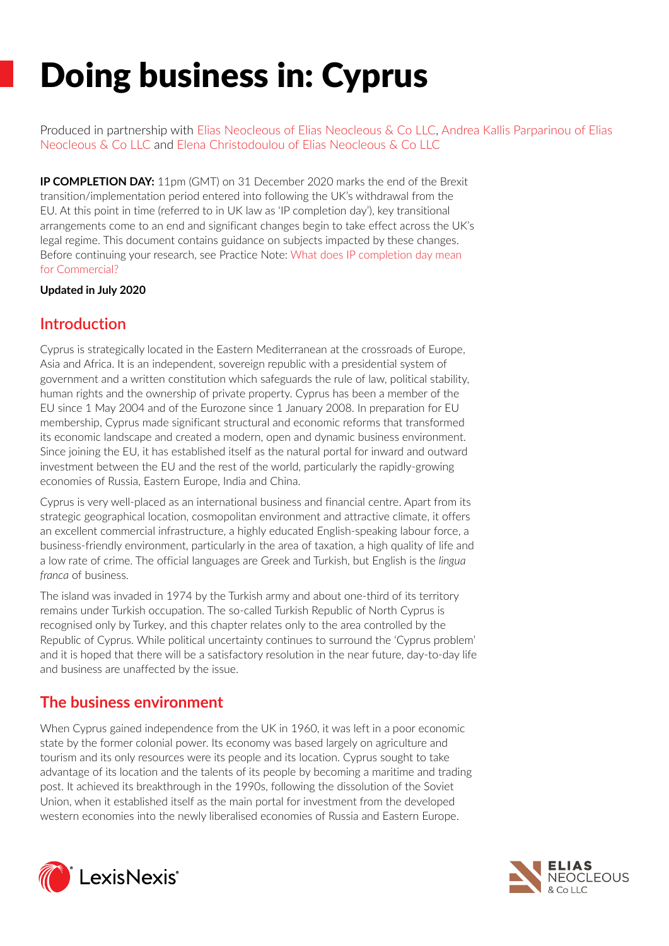# Doing business in: Cyprus

Produced in partnership with [Elias Neocleous of Elias Neocleous & Co LLC,](https://www.lexisnexis.co.uk/legal/experts/3282) [Andrea Kallis Parparinou of Elias](https://www.lexisnexis.co.uk/legal/experts/3461)  [Neocleous & Co LLC](https://www.lexisnexis.co.uk/legal/experts/3461) and [Elena Christodoulou of Elias Neocleous & Co LLC](https://www.lexisnexis.co.uk/legal/experts/875)

**IP COMPLETION DAY:** 11pm (GMT) on 31 December 2020 marks the end of the Brexit transition/implementation period entered into following the UK's withdrawal from the EU. At this point in time (referred to in UK law as 'IP completion day'), key transitional arrangements come to an end and significant changes begin to take effect across the UK's legal regime. This document contains guidance on subjects impacted by these changes. Before continuing your research, see Practice Note: [What does IP completion day mean](https://www.lexisnexis.com/uk/lexispsl/commercial/linkHandler.faces?ps=null&bct=A&homeCsi=391299&A=0.11712636679746113&urlEnc=ISO-8859-1&&dpsi=0OJE&remotekey1=DOC-ID&remotekey2=0OJE_3577732&service=DOC-ID&origdpsi=0OJE)  [for Commercial?](https://www.lexisnexis.com/uk/lexispsl/commercial/linkHandler.faces?ps=null&bct=A&homeCsi=391299&A=0.11712636679746113&urlEnc=ISO-8859-1&&dpsi=0OJE&remotekey1=DOC-ID&remotekey2=0OJE_3577732&service=DOC-ID&origdpsi=0OJE)

## **Updated in July 2020**

# **Introduction**

Cyprus is strategically located in the Eastern Mediterranean at the crossroads of Europe, Asia and Africa. It is an independent, sovereign republic with a presidential system of government and a written constitution which safeguards the rule of law, political stability, human rights and the ownership of private property. Cyprus has been a member of the EU since 1 May 2004 and of the Eurozone since 1 January 2008. In preparation for EU membership, Cyprus made significant structural and economic reforms that transformed its economic landscape and created a modern, open and dynamic business environment. Since joining the EU, it has established itself as the natural portal for inward and outward investment between the EU and the rest of the world, particularly the rapidly-growing economies of Russia, Eastern Europe, India and China.

Cyprus is very well-placed as an international business and financial centre. Apart from its strategic geographical location, cosmopolitan environment and attractive climate, it offers an excellent commercial infrastructure, a highly educated English-speaking labour force, a business-friendly environment, particularly in the area of taxation, a high quality of life and a low rate of crime. The official languages are Greek and Turkish, but English is the *lingua franca* of business.

The island was invaded in 1974 by the Turkish army and about one-third of its territory remains under Turkish occupation. The so-called Turkish Republic of North Cyprus is recognised only by Turkey, and this chapter relates only to the area controlled by the Republic of Cyprus. While political uncertainty continues to surround the 'Cyprus problem' and it is hoped that there will be a satisfactory resolution in the near future, day-to-day life and business are unaffected by the issue.

# **The business environment**

When Cyprus gained independence from the UK in 1960, it was left in a poor economic state by the former colonial power. Its economy was based largely on agriculture and tourism and its only resources were its people and its location. Cyprus sought to take advantage of its location and the talents of its people by becoming a maritime and trading post. It achieved its breakthrough in the 1990s, following the dissolution of the Soviet Union, when it established itself as the main portal for investment from the developed western economies into the newly liberalised economies of Russia and Eastern Europe.



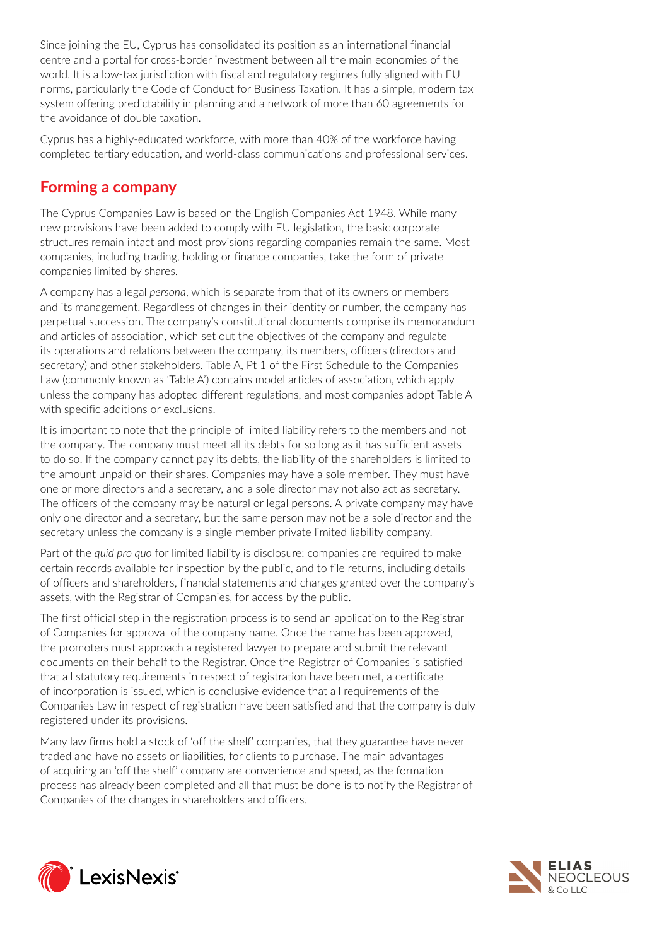Since joining the EU, Cyprus has consolidated its position as an international financial centre and a portal for cross-border investment between all the main economies of the world. It is a low-tax jurisdiction with fiscal and regulatory regimes fully aligned with EU norms, particularly the Code of Conduct for Business Taxation. It has a simple, modern tax system offering predictability in planning and a network of more than 60 agreements for the avoidance of double taxation.

Cyprus has a highly-educated workforce, with more than 40% of the workforce having completed tertiary education, and world-class communications and professional services.

# **Forming a company**

The Cyprus Companies Law is based on the English Companies Act 1948. While many new provisions have been added to comply with EU legislation, the basic corporate structures remain intact and most provisions regarding companies remain the same. Most companies, including trading, holding or finance companies, take the form of private companies limited by shares.

A company has a legal *persona*, which is separate from that of its owners or members and its management. Regardless of changes in their identity or number, the company has perpetual succession. The company's constitutional documents comprise its memorandum and articles of association, which set out the objectives of the company and regulate its operations and relations between the company, its members, officers (directors and secretary) and other stakeholders. Table A, Pt 1 of the First Schedule to the Companies Law (commonly known as 'Table A') contains model articles of association, which apply unless the company has adopted different regulations, and most companies adopt Table A with specific additions or exclusions.

It is important to note that the principle of limited liability refers to the members and not the company. The company must meet all its debts for so long as it has sufficient assets to do so. If the company cannot pay its debts, the liability of the shareholders is limited to the amount unpaid on their shares. Companies may have a sole member. They must have one or more directors and a secretary, and a sole director may not also act as secretary. The officers of the company may be natural or legal persons. A private company may have only one director and a secretary, but the same person may not be a sole director and the secretary unless the company is a single member private limited liability company.

Part of the *quid pro quo* for limited liability is disclosure: companies are required to make certain records available for inspection by the public, and to file returns, including details of officers and shareholders, financial statements and charges granted over the company's assets, with the Registrar of Companies, for access by the public.

The first official step in the registration process is to send an application to the Registrar of Companies for approval of the company name. Once the name has been approved, the promoters must approach a registered lawyer to prepare and submit the relevant documents on their behalf to the Registrar. Once the Registrar of Companies is satisfied that all statutory requirements in respect of registration have been met, a certificate of incorporation is issued, which is conclusive evidence that all requirements of the Companies Law in respect of registration have been satisfied and that the company is duly registered under its provisions.

Many law firms hold a stock of 'off the shelf' companies, that they guarantee have never traded and have no assets or liabilities, for clients to purchase. The main advantages of acquiring an 'off the shelf' company are convenience and speed, as the formation process has already been completed and all that must be done is to notify the Registrar of Companies of the changes in shareholders and officers.



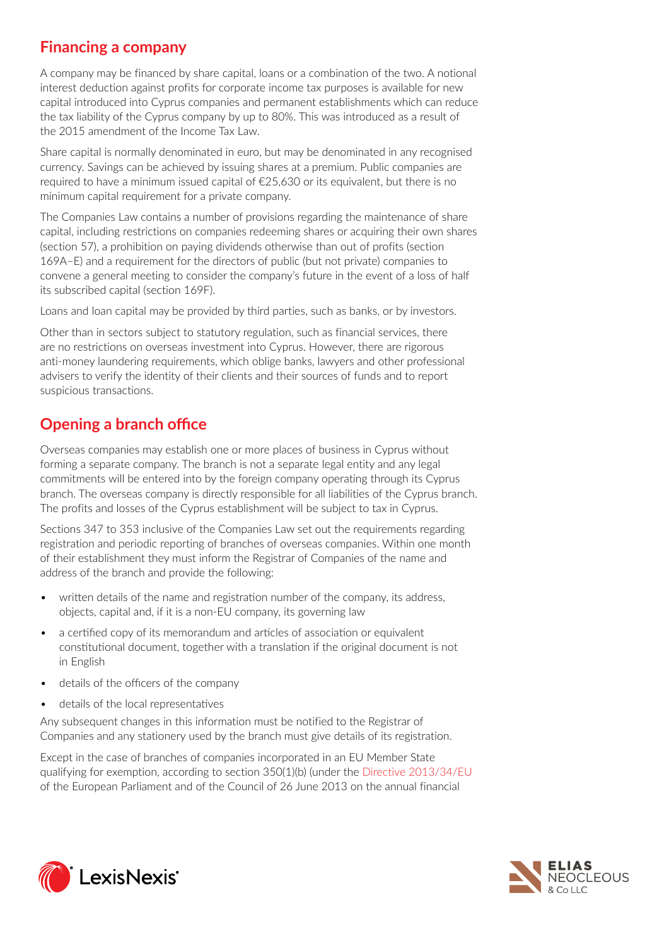# **Financing a company**

A company may be financed by share capital, loans or a combination of the two. A notional interest deduction against profits for corporate income tax purposes is available for new capital introduced into Cyprus companies and permanent establishments which can reduce the tax liability of the Cyprus company by up to 80%. This was introduced as a result of the 2015 amendment of the Income Tax Law.

Share capital is normally denominated in euro, but may be denominated in any recognised currency. Savings can be achieved by issuing shares at a premium. Public companies are required to have a minimum issued capital of €25,630 or its equivalent, but there is no minimum capital requirement for a private company.

The Companies Law contains a number of provisions regarding the maintenance of share capital, including restrictions on companies redeeming shares or acquiring their own shares (section 57), a prohibition on paying dividends otherwise than out of profits (section 169A–E) and a requirement for the directors of public (but not private) companies to convene a general meeting to consider the company's future in the event of a loss of half its subscribed capital (section 169F).

Loans and loan capital may be provided by third parties, such as banks, or by investors.

Other than in sectors subject to statutory regulation, such as financial services, there are no restrictions on overseas investment into Cyprus. However, there are rigorous anti-money laundering requirements, which oblige banks, lawyers and other professional advisers to verify the identity of their clients and their sources of funds and to report suspicious transactions.

# **Opening a branch office**

Overseas companies may establish one or more places of business in Cyprus without forming a separate company. The branch is not a separate legal entity and any legal commitments will be entered into by the foreign company operating through its Cyprus branch. The overseas company is directly responsible for all liabilities of the Cyprus branch. The profits and losses of the Cyprus establishment will be subject to tax in Cyprus.

Sections 347 to 353 inclusive of the Companies Law set out the requirements regarding registration and periodic reporting of branches of overseas companies. Within one month of their establishment they must inform the Registrar of Companies of the name and address of the branch and provide the following:

- *•* written details of the name and registration number of the company, its address, objects, capital and, if it is a non-EU company, its governing law
- *•* a certified copy of its memorandum and articles of association or equivalent constitutional document, together with a translation if the original document is not in English
- *•* details of the officers of the company
- *•* details of the local representatives

Any subsequent changes in this information must be notified to the Registrar of Companies and any stationery used by the branch must give details of its registration.

Except in the case of branches of companies incorporated in an EU Member State qualifying for exemption, according to section 350(1)(b) (under the [Directive 2013/34/EU](https://www.lexisnexis.com/uk/lexispsl/commercial/citationlinkHandler.faces?bct=A&service=citation&risb=&UK_EULEG&$num!%2532013L0034_title%25) of the European Parliament and of the Council of 26 June 2013 on the annual financial



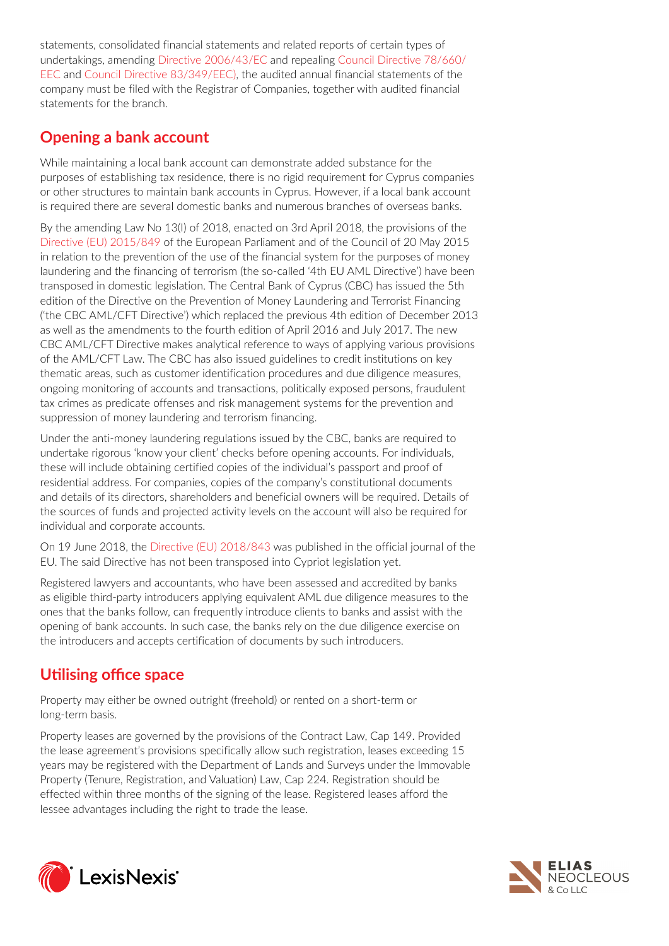statements, consolidated financial statements and related reports of certain types of undertakings, amending [Directive 2006/43/EC](https://www.lexisnexis.com/uk/lexispsl/commercial/citationlinkHandler.faces?bct=A&service=citation&risb=&UK_EULEG&$num!%2532006L0043_title%25) and repealing [Council Directive 78/660/](https://www.lexisnexis.com/uk/lexispsl/commercial/citationlinkHandler.faces?bct=A&service=citation&risb=&UK_EULEG&$num!%2531978L0660_title%25) [EEC](https://www.lexisnexis.com/uk/lexispsl/commercial/citationlinkHandler.faces?bct=A&service=citation&risb=&UK_EULEG&$num!%2531978L0660_title%25) and [Council Directive 83/349/EEC\)](https://www.lexisnexis.com/uk/lexispsl/commercial/citationlinkHandler.faces?bct=A&service=citation&risb=&UK_EULEG&$num!%2531983L0349_title%25), the audited annual financial statements of the company must be filed with the Registrar of Companies, together with audited financial statements for the branch.

# **Opening a bank account**

While maintaining a local bank account can demonstrate added substance for the purposes of establishing tax residence, there is no rigid requirement for Cyprus companies or other structures to maintain bank accounts in Cyprus. However, if a local bank account is required there are several domestic banks and numerous branches of overseas banks.

By the amending Law No 13(I) of 2018, enacted on 3rd April 2018, the provisions of the [Directive \(EU\) 2015/849](https://www.lexisnexis.com/uk/lexispsl/commercial/citationlinkHandler.faces?bct=A&service=citation&risb=&UK_EULEG&$num!%2532015L0849_title%25) of the European Parliament and of the Council of 20 May 2015 in relation to the prevention of the use of the financial system for the purposes of money laundering and the financing of terrorism (the so-called '4th EU AML Directive') have been transposed in domestic legislation. The Central Bank of Cyprus (CBC) has issued the 5th edition of the Directive on the Prevention of Money Laundering and Terrorist Financing ('the CBC AML/CFT Directive') which replaced the previous 4th edition of December 2013 as well as the amendments to the fourth edition of April 2016 and July 2017. The new CBC AML/CFT Directive makes analytical reference to ways of applying various provisions of the AML/CFT Law. The CBC has also issued guidelines to credit institutions on key thematic areas, such as customer identification procedures and due diligence measures, ongoing monitoring of accounts and transactions, politically exposed persons, fraudulent tax crimes as predicate offenses and risk management systems for the prevention and suppression of money laundering and terrorism financing.

Under the anti-money laundering regulations issued by the CBC, banks are required to undertake rigorous 'know your client' checks before opening accounts. For individuals, these will include obtaining certified copies of the individual's passport and proof of residential address. For companies, copies of the company's constitutional documents and details of its directors, shareholders and beneficial owners will be required. Details of the sources of funds and projected activity levels on the account will also be required for individual and corporate accounts.

On 19 June 2018, the [Directive \(EU\) 2018/843](https://www.lexisnexis.com/uk/lexispsl/commercial/citationlinkHandler.faces?bct=A&service=citation&risb=&UK_EULEG&$num!%2532018L0843_title%25) was published in the official journal of the EU. The said Directive has not been transposed into Cypriot legislation yet.

Registered lawyers and accountants, who have been assessed and accredited by banks as eligible third-party introducers applying equivalent AML due diligence measures to the ones that the banks follow, can frequently introduce clients to banks and assist with the opening of bank accounts. In such case, the banks rely on the due diligence exercise on the introducers and accepts certification of documents by such introducers.

# **Utilising office space**

Property may either be owned outright (freehold) or rented on a short-term or long-term basis.

Property leases are governed by the provisions of the Contract Law, Cap 149. Provided the lease agreement's provisions specifically allow such registration, leases exceeding 15 years may be registered with the Department of Lands and Surveys under the Immovable Property (Tenure, Registration, and Valuation) Law, Cap 224. Registration should be effected within three months of the signing of the lease. Registered leases afford the lessee advantages including the right to trade the lease.



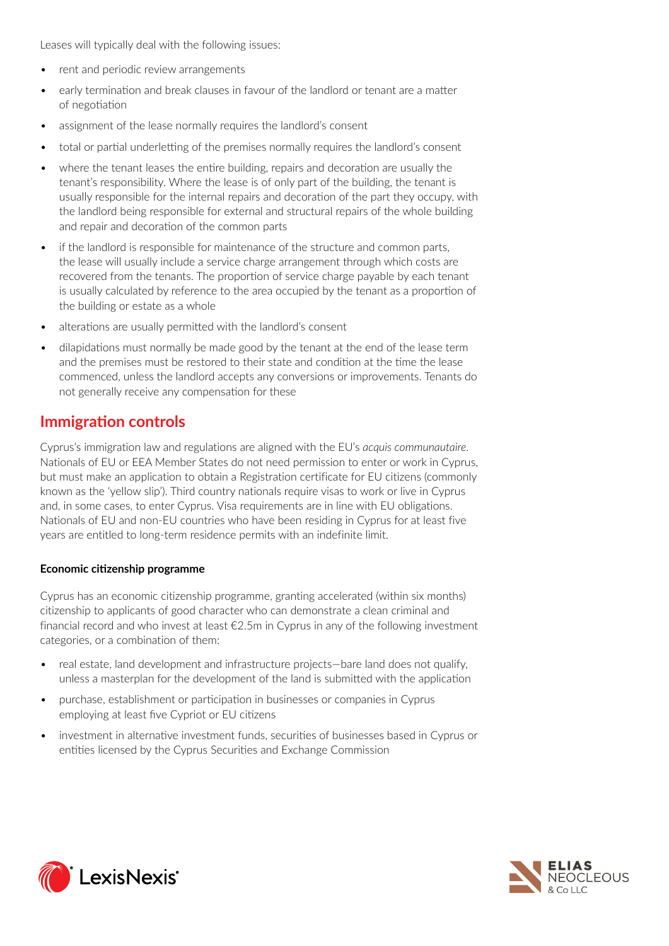Leases will typically deal with the following issues:

- *•* rent and periodic review arrangements
- *•* early termination and break clauses in favour of the landlord or tenant are a matter of negotiation
- *•* assignment of the lease normally requires the landlord's consent
- *•* total or partial underletting of the premises normally requires the landlord's consent
- *•* where the tenant leases the entire building, repairs and decoration are usually the tenant's responsibility. Where the lease is of only part of the building, the tenant is usually responsible for the internal repairs and decoration of the part they occupy, with the landlord being responsible for external and structural repairs of the whole building and repair and decoration of the common parts
- *•* if the landlord is responsible for maintenance of the structure and common parts, the lease will usually include a service charge arrangement through which costs are recovered from the tenants. The proportion of service charge payable by each tenant is usually calculated by reference to the area occupied by the tenant as a proportion of the building or estate as a whole
- *•* alterations are usually permitted with the landlord's consent
- *•* dilapidations must normally be made good by the tenant at the end of the lease term and the premises must be restored to their state and condition at the time the lease commenced, unless the landlord accepts any conversions or improvements. Tenants do not generally receive any compensation for these

# **Immigration controls**

Cyprus's immigration law and regulations are aligned with the EU's *acquis communautaire*. Nationals of EU or EEA Member States do not need permission to enter or work in Cyprus, but must make an application to obtain a Registration certificate for EU citizens (commonly known as the 'yellow slip'). Third country nationals require visas to work or live in Cyprus and, in some cases, to enter Cyprus. Visa requirements are in line with EU obligations. Nationals of EU and non-EU countries who have been residing in Cyprus for at least five years are entitled to long-term residence permits with an indefinite limit.

#### **Economic citizenship programme**

Cyprus has an economic citizenship programme, granting accelerated (within six months) citizenship to applicants of good character who can demonstrate a clean criminal and financial record and who invest at least  $\epsilon$ 2.5m in Cyprus in any of the following investment categories, or a combination of them:

- *•* real estate, land development and infrastructure projects—bare land does not qualify, unless a masterplan for the development of the land is submitted with the application
- *•* purchase, establishment or participation in businesses or companies in Cyprus employing at least five Cypriot or EU citizens
- *•* investment in alternative investment funds, securities of businesses based in Cyprus or entities licensed by the Cyprus Securities and Exchange Commission



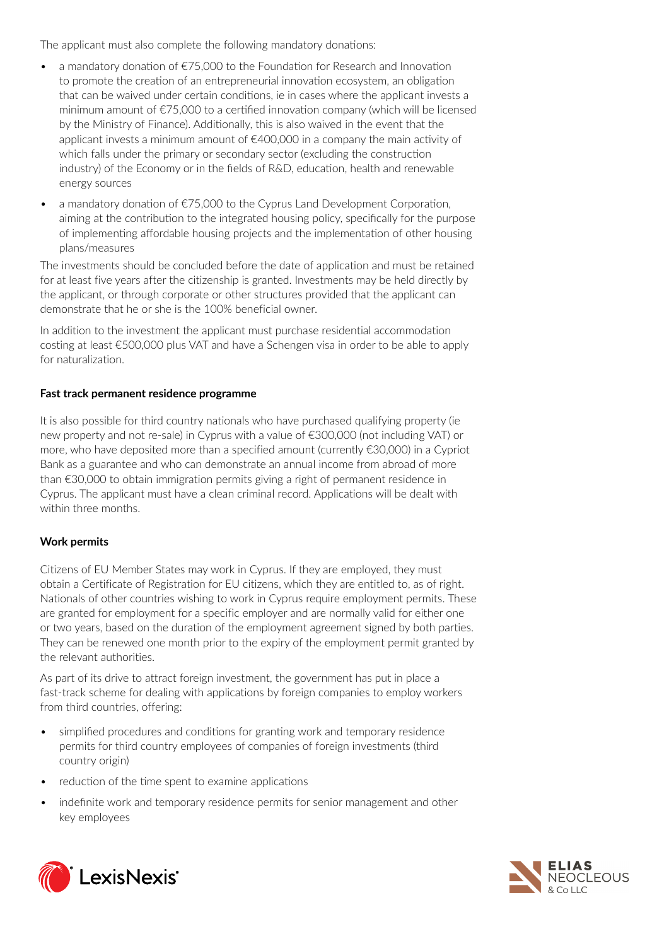The applicant must also complete the following mandatory donations:

- *•* a mandatory donation of €75,000 to the Foundation for Research and Innovation to promote the creation of an entrepreneurial innovation ecosystem, an obligation that can be waived under certain conditions, ie in cases where the applicant invests a minimum amount of €75,000 to a certified innovation company (which will be licensed by the Ministry of Finance). Additionally, this is also waived in the event that the applicant invests a minimum amount of €400,000 in a company the main activity of which falls under the primary or secondary sector (excluding the construction industry) of the Economy or in the fields of R&D, education, health and renewable energy sources
- *•* a mandatory donation of €75,000 to the Cyprus Land Development Corporation, aiming at the contribution to the integrated housing policy, specifically for the purpose of implementing affordable housing projects and the implementation of other housing plans/measures

The investments should be concluded before the date of application and must be retained for at least five years after the citizenship is granted. Investments may be held directly by the applicant, or through corporate or other structures provided that the applicant can demonstrate that he or she is the 100% beneficial owner.

In addition to the investment the applicant must purchase residential accommodation costing at least €500,000 plus VAT and have a Schengen visa in order to be able to apply for naturalization.

#### **Fast track permanent residence programme**

It is also possible for third country nationals who have purchased qualifying property (ie new property and not re-sale) in Cyprus with a value of €300,000 (not including VAT) or more, who have deposited more than a specified amount (currently €30,000) in a Cypriot Bank as a guarantee and who can demonstrate an annual income from abroad of more than €30,000 to obtain immigration permits giving a right of permanent residence in Cyprus. The applicant must have a clean criminal record. Applications will be dealt with within three months.

## **Work permits**

Citizens of EU Member States may work in Cyprus. If they are employed, they must obtain a Certificate of Registration for EU citizens, which they are entitled to, as of right. Nationals of other countries wishing to work in Cyprus require employment permits. These are granted for employment for a specific employer and are normally valid for either one or two years, based on the duration of the employment agreement signed by both parties. They can be renewed one month prior to the expiry of the employment permit granted by the relevant authorities.

As part of its drive to attract foreign investment, the government has put in place a fast-track scheme for dealing with applications by foreign companies to employ workers from third countries, offering:

- *•* simplified procedures and conditions for granting work and temporary residence permits for third country employees of companies of foreign investments (third country origin)
- *•* reduction of the time spent to examine applications
- *•* indefinite work and temporary residence permits for senior management and other key employees



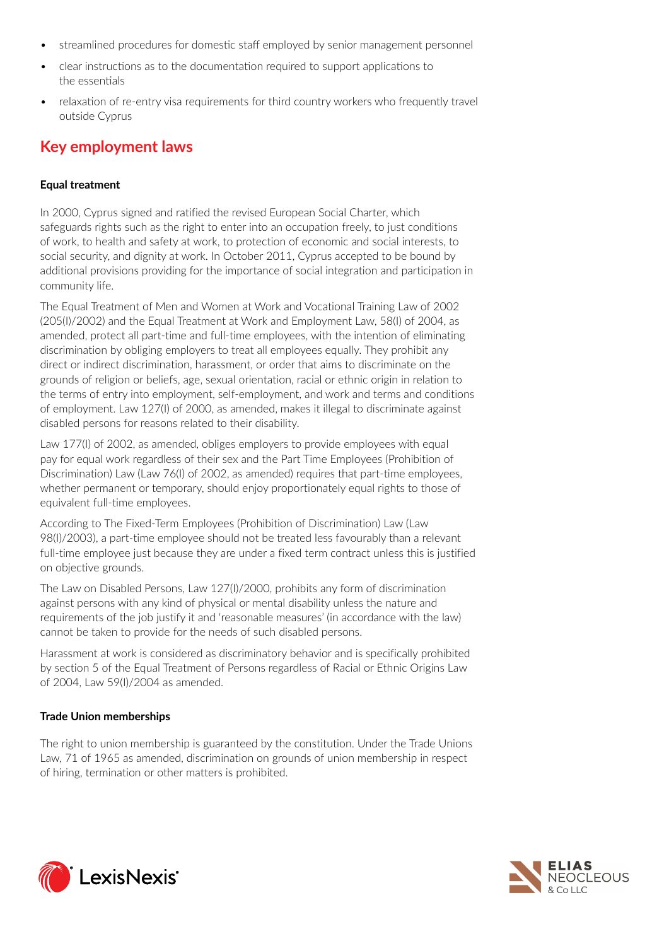- *•* streamlined procedures for domestic staff employed by senior management personnel
- *•* clear instructions as to the documentation required to support applications to the essentials
- *•* relaxation of re-entry visa requirements for third country workers who frequently travel outside Cyprus

# **Key employment laws**

#### **Equal treatment**

In 2000, Cyprus signed and ratified the revised European Social Charter, which safeguards rights such as the right to enter into an occupation freely, to just conditions of work, to health and safety at work, to protection of economic and social interests, to social security, and dignity at work. In October 2011, Cyprus accepted to be bound by additional provisions providing for the importance of social integration and participation in community life.

The Equal Treatment of Men and Women at Work and Vocational Training Law of 2002 (205(I)/2002) and the Equal Treatment at Work and Employment Law, 58(I) of 2004, as amended, protect all part-time and full-time employees, with the intention of eliminating discrimination by obliging employers to treat all employees equally. They prohibit any direct or indirect discrimination, harassment, or order that aims to discriminate on the grounds of religion or beliefs, age, sexual orientation, racial or ethnic origin in relation to the terms of entry into employment, self-employment, and work and terms and conditions of employment. Law 127(I) of 2000, as amended, makes it illegal to discriminate against disabled persons for reasons related to their disability.

Law 177(I) of 2002, as amended, obliges employers to provide employees with equal pay for equal work regardless of their sex and the Part Time Employees (Prohibition of Discrimination) Law (Law 76(I) of 2002, as amended) requires that part-time employees, whether permanent or temporary, should enjoy proportionately equal rights to those of equivalent full-time employees.

According to The Fixed-Term Employees (Prohibition of Discrimination) Law (Law 98(I)/2003), a part-time employee should not be treated less favourably than a relevant full-time employee just because they are under a fixed term contract unless this is justified on objective grounds.

The Law on Disabled Persons, Law 127(I)/2000, prohibits any form of discrimination against persons with any kind of physical or mental disability unless the nature and requirements of the job justify it and 'reasonable measures' (in accordance with the law) cannot be taken to provide for the needs of such disabled persons.

Harassment at work is considered as discriminatory behavior and is specifically prohibited by section 5 of the Equal Treatment of Persons regardless of Racial or Ethnic Origins Law of 2004, Law 59(I)/2004 as amended.

## **Trade Union memberships**

The right to union membership is guaranteed by the constitution. Under the Trade Unions Law, 71 of 1965 as amended, discrimination on grounds of union membership in respect of hiring, termination or other matters is prohibited.



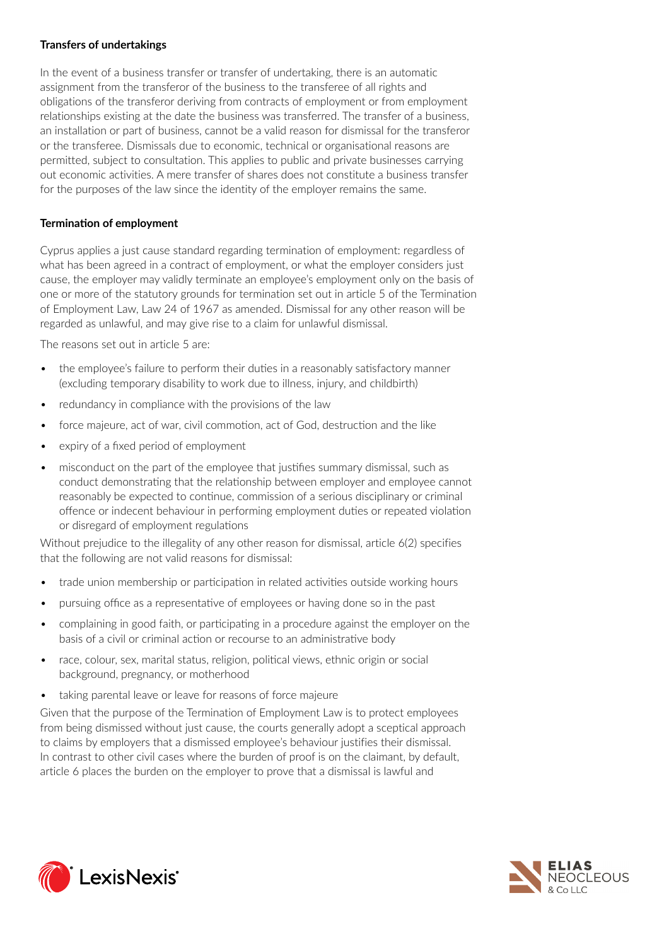#### **Transfers of undertakings**

In the event of a business transfer or transfer of undertaking, there is an automatic assignment from the transferor of the business to the transferee of all rights and obligations of the transferor deriving from contracts of employment or from employment relationships existing at the date the business was transferred. The transfer of a business, an installation or part of business, cannot be a valid reason for dismissal for the transferor or the transferee. Dismissals due to economic, technical or organisational reasons are permitted, subject to consultation. This applies to public and private businesses carrying out economic activities. A mere transfer of shares does not constitute a business transfer for the purposes of the law since the identity of the employer remains the same.

#### **Termination of employment**

Cyprus applies a just cause standard regarding termination of employment: regardless of what has been agreed in a contract of employment, or what the employer considers just cause, the employer may validly terminate an employee's employment only on the basis of one or more of the statutory grounds for termination set out in article 5 of the Termination of Employment Law, Law 24 of 1967 as amended. Dismissal for any other reason will be regarded as unlawful, and may give rise to a claim for unlawful dismissal.

The reasons set out in article 5 are:

- *•* the employee's failure to perform their duties in a reasonably satisfactory manner (excluding temporary disability to work due to illness, injury, and childbirth)
- *•* redundancy in compliance with the provisions of the law
- *•* force majeure, act of war, civil commotion, act of God, destruction and the like
- *•* expiry of a fixed period of employment
- *•* misconduct on the part of the employee that justifies summary dismissal, such as conduct demonstrating that the relationship between employer and employee cannot reasonably be expected to continue, commission of a serious disciplinary or criminal offence or indecent behaviour in performing employment duties or repeated violation or disregard of employment regulations

Without prejudice to the illegality of any other reason for dismissal, article 6(2) specifies that the following are not valid reasons for dismissal:

- *•* trade union membership or participation in related activities outside working hours
- *•* pursuing office as a representative of employees or having done so in the past
- *•* complaining in good faith, or participating in a procedure against the employer on the basis of a civil or criminal action or recourse to an administrative body
- *•* race, colour, sex, marital status, religion, political views, ethnic origin or social background, pregnancy, or motherhood
- *•* taking parental leave or leave for reasons of force majeure

Given that the purpose of the Termination of Employment Law is to protect employees from being dismissed without just cause, the courts generally adopt a sceptical approach to claims by employers that a dismissed employee's behaviour justifies their dismissal. In contrast to other civil cases where the burden of proof is on the claimant, by default, article 6 places the burden on the employer to prove that a dismissal is lawful and



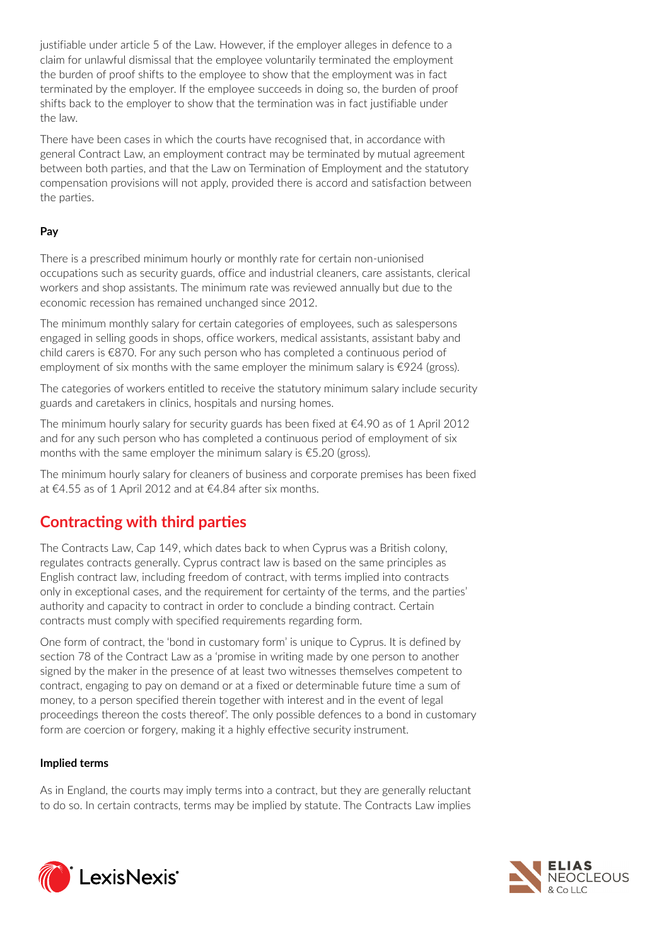justifiable under article 5 of the Law. However, if the employer alleges in defence to a claim for unlawful dismissal that the employee voluntarily terminated the employment the burden of proof shifts to the employee to show that the employment was in fact terminated by the employer. If the employee succeeds in doing so, the burden of proof shifts back to the employer to show that the termination was in fact justifiable under the law.

There have been cases in which the courts have recognised that, in accordance with general Contract Law, an employment contract may be terminated by mutual agreement between both parties, and that the Law on Termination of Employment and the statutory compensation provisions will not apply, provided there is accord and satisfaction between the parties.

## **Pay**

There is a prescribed minimum hourly or monthly rate for certain non-unionised occupations such as security guards, office and industrial cleaners, care assistants, clerical workers and shop assistants. The minimum rate was reviewed annually but due to the economic recession has remained unchanged since 2012.

The minimum monthly salary for certain categories of employees, such as salespersons engaged in selling goods in shops, office workers, medical assistants, assistant baby and child carers is €870. For any such person who has completed a continuous period of employment of six months with the same employer the minimum salary is  $\epsilon$ 924 (gross).

The categories of workers entitled to receive the statutory minimum salary include security guards and caretakers in clinics, hospitals and nursing homes.

The minimum hourly salary for security guards has been fixed at  $\epsilon$ 4.90 as of 1 April 2012 and for any such person who has completed a continuous period of employment of six months with the same employer the minimum salary is  $\epsilon$ 5.20 (gross).

The minimum hourly salary for cleaners of business and corporate premises has been fixed at €4.55 as of 1 April 2012 and at €4.84 after six months.

# **Contracting with third parties**

The Contracts Law, Cap 149, which dates back to when Cyprus was a British colony, regulates contracts generally. Cyprus contract law is based on the same principles as English contract law, including freedom of contract, with terms implied into contracts only in exceptional cases, and the requirement for certainty of the terms, and the parties' authority and capacity to contract in order to conclude a binding contract. Certain contracts must comply with specified requirements regarding form.

One form of contract, the 'bond in customary form' is unique to Cyprus. It is defined by section 78 of the Contract Law as a 'promise in writing made by one person to another signed by the maker in the presence of at least two witnesses themselves competent to contract, engaging to pay on demand or at a fixed or determinable future time a sum of money, to a person specified therein together with interest and in the event of legal proceedings thereon the costs thereof'. The only possible defences to a bond in customary form are coercion or forgery, making it a highly effective security instrument.

#### **Implied terms**

As in England, the courts may imply terms into a contract, but they are generally reluctant to do so. In certain contracts, terms may be implied by statute. The Contracts Law implies



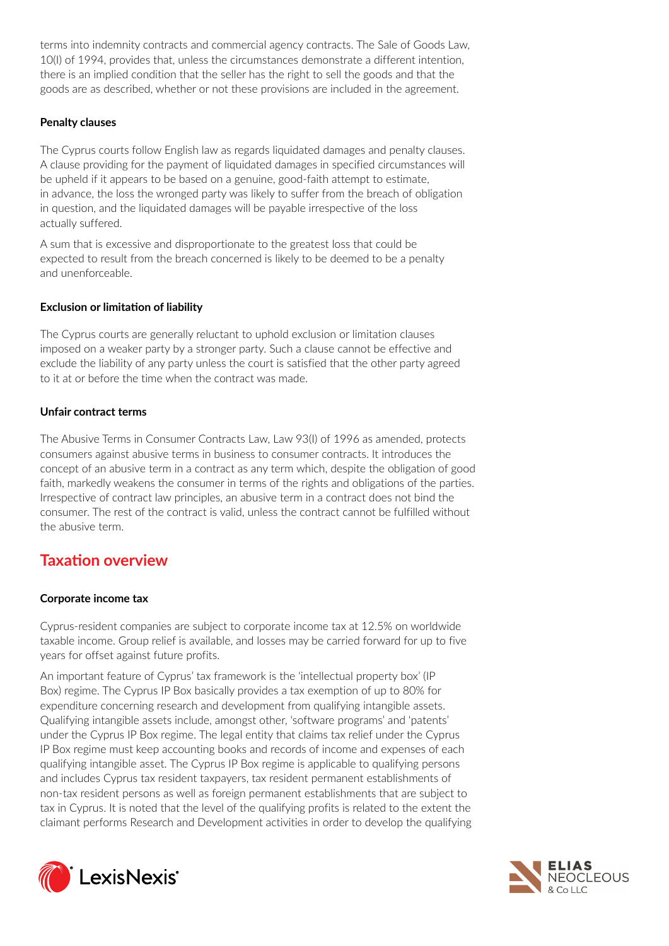terms into indemnity contracts and commercial agency contracts. The Sale of Goods Law, 10(I) of 1994, provides that, unless the circumstances demonstrate a different intention, there is an implied condition that the seller has the right to sell the goods and that the goods are as described, whether or not these provisions are included in the agreement.

#### **Penalty clauses**

The Cyprus courts follow English law as regards liquidated damages and penalty clauses. A clause providing for the payment of liquidated damages in specified circumstances will be upheld if it appears to be based on a genuine, good-faith attempt to estimate, in advance, the loss the wronged party was likely to suffer from the breach of obligation in question, and the liquidated damages will be payable irrespective of the loss actually suffered.

A sum that is excessive and disproportionate to the greatest loss that could be expected to result from the breach concerned is likely to be deemed to be a penalty and unenforceable.

#### **Exclusion or limitation of liability**

The Cyprus courts are generally reluctant to uphold exclusion or limitation clauses imposed on a weaker party by a stronger party. Such a clause cannot be effective and exclude the liability of any party unless the court is satisfied that the other party agreed to it at or before the time when the contract was made.

#### **Unfair contract terms**

The Abusive Terms in Consumer Contracts Law, Law 93(I) of 1996 as amended, protects consumers against abusive terms in business to consumer contracts. It introduces the concept of an abusive term in a contract as any term which, despite the obligation of good faith, markedly weakens the consumer in terms of the rights and obligations of the parties. Irrespective of contract law principles, an abusive term in a contract does not bind the consumer. The rest of the contract is valid, unless the contract cannot be fulfilled without the abusive term.

# **Taxation overview**

#### **Corporate income tax**

Cyprus-resident companies are subject to corporate income tax at 12.5% on worldwide taxable income. Group relief is available, and losses may be carried forward for up to five years for offset against future profits.

An important feature of Cyprus' tax framework is the 'intellectual property box' (IP Box) regime. The Cyprus IP Box basically provides a tax exemption of up to 80% for expenditure concerning research and development from qualifying intangible assets. Qualifying intangible assets include, amongst other, 'software programs' and 'patents' under the Cyprus IP Box regime. The legal entity that claims tax relief under the Cyprus IP Box regime must keep accounting books and records of income and expenses of each qualifying intangible asset. The Cyprus IP Box regime is applicable to qualifying persons and includes Cyprus tax resident taxpayers, tax resident permanent establishments of non-tax resident persons as well as foreign permanent establishments that are subject to tax in Cyprus. It is noted that the level of the qualifying profits is related to the extent the claimant performs Research and Development activities in order to develop the qualifying



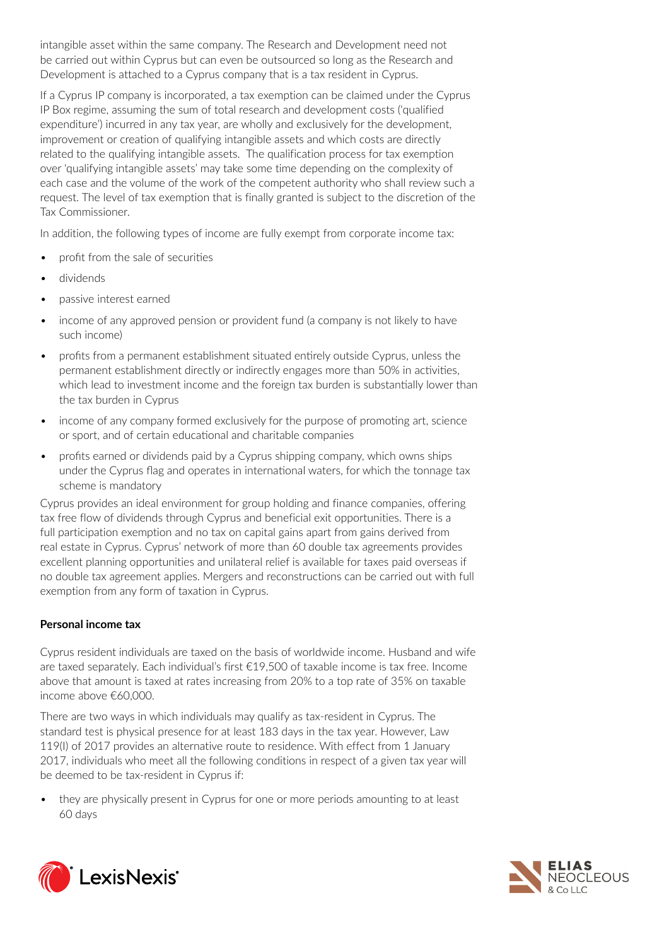intangible asset within the same company. The Research and Development need not be carried out within Cyprus but can even be outsourced so long as the Research and Development is attached to a Cyprus company that is a tax resident in Cyprus.

If a Cyprus IP company is incorporated, a tax exemption can be claimed under the Cyprus IP Box regime, assuming the sum of total research and development costs ('qualified expenditure') incurred in any tax year, are wholly and exclusively for the development, improvement or creation of qualifying intangible assets and which costs are directly related to the qualifying intangible assets. The qualification process for tax exemption over 'qualifying intangible assets' may take some time depending on the complexity of each case and the volume of the work of the competent authority who shall review such a request. The level of tax exemption that is finally granted is subject to the discretion of the Tax Commissioner.

In addition, the following types of income are fully exempt from corporate income tax:

- *•* profit from the sale of securities
- *•* dividends
- *•* passive interest earned
- *•* income of any approved pension or provident fund (a company is not likely to have such income)
- *•* profits from a permanent establishment situated entirely outside Cyprus, unless the permanent establishment directly or indirectly engages more than 50% in activities, which lead to investment income and the foreign tax burden is substantially lower than the tax burden in Cyprus
- *•* income of any company formed exclusively for the purpose of promoting art, science or sport, and of certain educational and charitable companies
- *•* profits earned or dividends paid by a Cyprus shipping company, which owns ships under the Cyprus flag and operates in international waters, for which the tonnage tax scheme is mandatory

Cyprus provides an ideal environment for group holding and finance companies, offering tax free flow of dividends through Cyprus and beneficial exit opportunities. There is a full participation exemption and no tax on capital gains apart from gains derived from real estate in Cyprus. Cyprus' network of more than 60 double tax agreements provides excellent planning opportunities and unilateral relief is available for taxes paid overseas if no double tax agreement applies. Mergers and reconstructions can be carried out with full exemption from any form of taxation in Cyprus.

## **Personal income tax**

Cyprus resident individuals are taxed on the basis of worldwide income. Husband and wife are taxed separately. Each individual's first €19,500 of taxable income is tax free. Income above that amount is taxed at rates increasing from 20% to a top rate of 35% on taxable income above €60,000.

There are two ways in which individuals may qualify as tax-resident in Cyprus. The standard test is physical presence for at least 183 days in the tax year. However, Law 119(I) of 2017 provides an alternative route to residence. With effect from 1 January 2017, individuals who meet all the following conditions in respect of a given tax year will be deemed to be tax-resident in Cyprus if:

• they are physically present in Cyprus for one or more periods amounting to at least 60 days



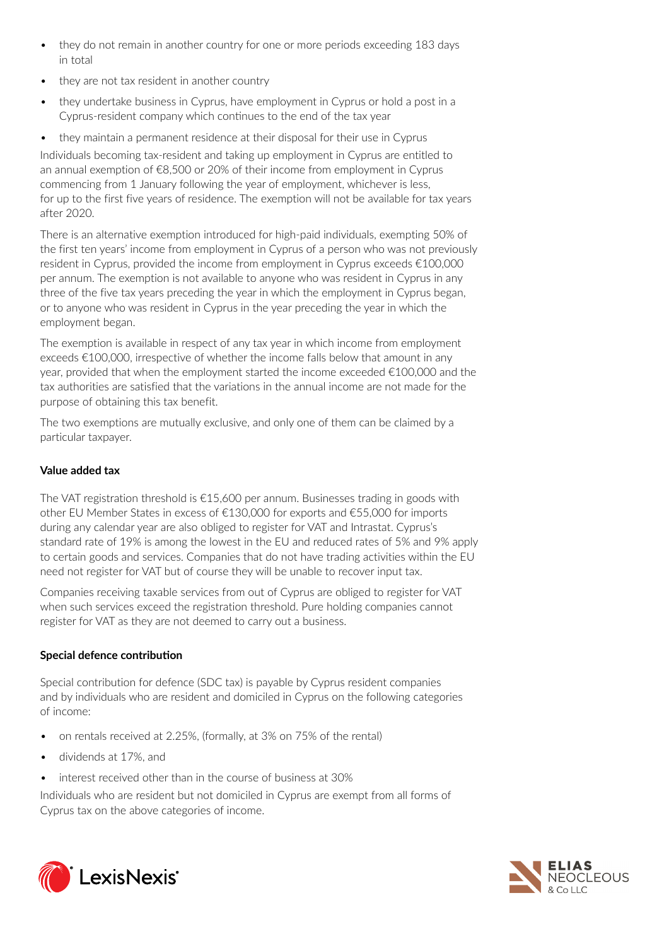- *•* they do not remain in another country for one or more periods exceeding 183 days in total
- *•* they are not tax resident in another country
- *•* they undertake business in Cyprus, have employment in Cyprus or hold a post in a Cyprus-resident company which continues to the end of the tax year
- *•* they maintain a permanent residence at their disposal for their use in Cyprus

Individuals becoming tax-resident and taking up employment in Cyprus are entitled to an annual exemption of €8,500 or 20% of their income from employment in Cyprus commencing from 1 January following the year of employment, whichever is less, for up to the first five years of residence. The exemption will not be available for tax years after 2020.

There is an alternative exemption introduced for high-paid individuals, exempting 50% of the first ten years' income from employment in Cyprus of a person who was not previously resident in Cyprus, provided the income from employment in Cyprus exceeds €100,000 per annum. The exemption is not available to anyone who was resident in Cyprus in any three of the five tax years preceding the year in which the employment in Cyprus began, or to anyone who was resident in Cyprus in the year preceding the year in which the employment began.

The exemption is available in respect of any tax year in which income from employment exceeds €100,000, irrespective of whether the income falls below that amount in any year, provided that when the employment started the income exceeded  $\epsilon$ 100,000 and the tax authorities are satisfied that the variations in the annual income are not made for the purpose of obtaining this tax benefit.

The two exemptions are mutually exclusive, and only one of them can be claimed by a particular taxpayer.

# **Value added tax**

The VAT registration threshold is €15,600 per annum. Businesses trading in goods with other EU Member States in excess of €130,000 for exports and €55,000 for imports during any calendar year are also obliged to register for VAT and Intrastat. Cyprus's standard rate of 19% is among the lowest in the EU and reduced rates of 5% and 9% apply to certain goods and services. Companies that do not have trading activities within the EU need not register for VAT but of course they will be unable to recover input tax.

Companies receiving taxable services from out of Cyprus are obliged to register for VAT when such services exceed the registration threshold. Pure holding companies cannot register for VAT as they are not deemed to carry out a business.

# **Special defence contribution**

Special contribution for defence (SDC tax) is payable by Cyprus resident companies and by individuals who are resident and domiciled in Cyprus on the following categories of income:

- *•* on rentals received at 2.25%, (formally, at 3% on 75% of the rental)
- *•* dividends at 17%, and
- *•* interest received other than in the course of business at 30%

Individuals who are resident but not domiciled in Cyprus are exempt from all forms of Cyprus tax on the above categories of income.



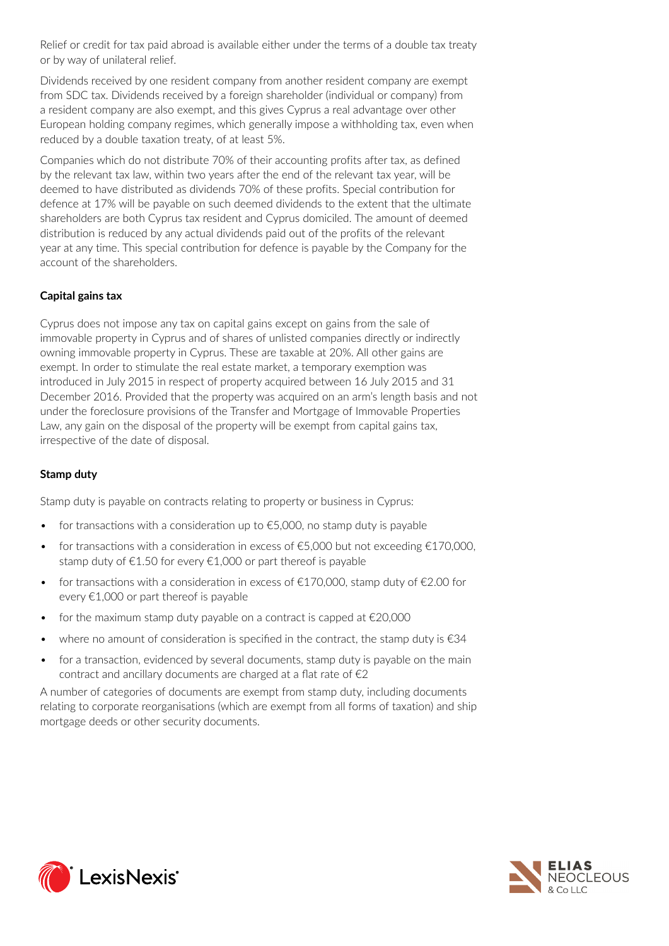Relief or credit for tax paid abroad is available either under the terms of a double tax treaty or by way of unilateral relief.

Dividends received by one resident company from another resident company are exempt from SDC tax. Dividends received by a foreign shareholder (individual or company) from a resident company are also exempt, and this gives Cyprus a real advantage over other European holding company regimes, which generally impose a withholding tax, even when reduced by a double taxation treaty, of at least 5%.

Companies which do not distribute 70% of their accounting profits after tax, as defined by the relevant tax law, within two years after the end of the relevant tax year, will be deemed to have distributed as dividends 70% of these profits. Special contribution for defence at 17% will be payable on such deemed dividends to the extent that the ultimate shareholders are both Cyprus tax resident and Cyprus domiciled. The amount of deemed distribution is reduced by any actual dividends paid out of the profits of the relevant year at any time. This special contribution for defence is payable by the Company for the account of the shareholders.

## **Capital gains tax**

Cyprus does not impose any tax on capital gains except on gains from the sale of immovable property in Cyprus and of shares of unlisted companies directly or indirectly owning immovable property in Cyprus. These are taxable at 20%. All other gains are exempt. In order to stimulate the real estate market, a temporary exemption was introduced in July 2015 in respect of property acquired between 16 July 2015 and 31 December 2016. Provided that the property was acquired on an arm's length basis and not under the foreclosure provisions of the Transfer and Mortgage of Immovable Properties Law, any gain on the disposal of the property will be exempt from capital gains tax, irrespective of the date of disposal.

#### **Stamp duty**

Stamp duty is payable on contracts relating to property or business in Cyprus:

- for transactions with a consideration up to  $\epsilon$ 5,000, no stamp duty is payable
- *•* for transactions with a consideration in excess of €5,000 but not exceeding €170,000, stamp duty of €1.50 for every €1,000 or part thereof is payable
- *for transactions with a consideration in excess of €170,000, stamp duty of €2.00 for* every €1,000 or part thereof is payable
- *•* for the maximum stamp duty payable on a contract is capped at €20,000
- *•* where no amount of consideration is specified in the contract, the stamp duty is €34
- *•* for a transaction, evidenced by several documents, stamp duty is payable on the main contract and ancillary documents are charged at a flat rate of  $\epsilon$ 2

A number of categories of documents are exempt from stamp duty, including documents relating to corporate reorganisations (which are exempt from all forms of taxation) and ship mortgage deeds or other security documents.



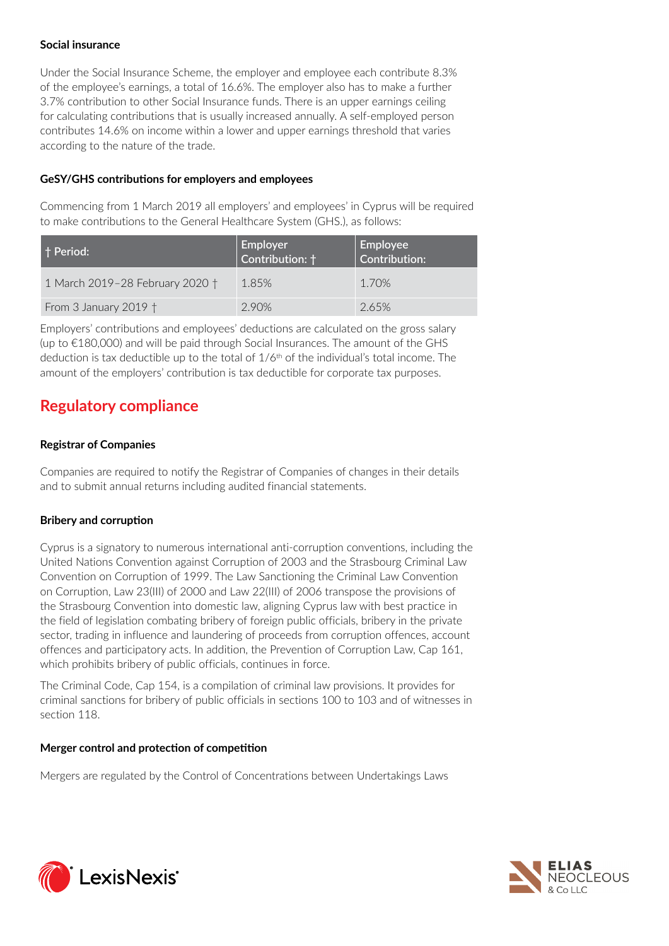#### **Social insurance**

Under the Social Insurance Scheme, the employer and employee each contribute 8.3% of the employee's earnings, a total of 16.6%. The employer also has to make a further 3.7% contribution to other Social Insurance funds. There is an upper earnings ceiling for calculating contributions that is usually increased annually. A self-employed person contributes 14.6% on income within a lower and upper earnings threshold that varies according to the nature of the trade.

#### **GeSY/GHS contributions for employers and employees**

Commencing from 1 March 2019 all employers' and employees' in Cyprus will be required to make contributions to the General Healthcare System (GHS.), as follows:

| † Period:                       | Employer<br>  Contribution: † | Employee<br>  Contribution: |
|---------------------------------|-------------------------------|-----------------------------|
| 1 March 2019-28 February 2020 † | 1.85%                         | 1.70%                       |
| From 3 January 2019 $\dagger$   | 290%                          | 2.65%                       |

Employers' contributions and employees' deductions are calculated on the gross salary (up to €180,000) and will be paid through Social Insurances. The amount of the GHS deduction is tax deductible up to the total of  $1/6<sup>th</sup>$  of the individual's total income. The amount of the employers' contribution is tax deductible for corporate tax purposes.

# **Regulatory compliance**

## **Registrar of Companies**

Companies are required to notify the Registrar of Companies of changes in their details and to submit annual returns including audited financial statements.

## **Bribery and corruption**

Cyprus is a signatory to numerous international anti-corruption conventions, including the United Nations Convention against Corruption of 2003 and the Strasbourg Criminal Law Convention on Corruption of 1999. The Law Sanctioning the Criminal Law Convention on Corruption, Law 23(III) of 2000 and Law 22(III) of 2006 transpose the provisions of the Strasbourg Convention into domestic law, aligning Cyprus law with best practice in the field of legislation combating bribery of foreign public officials, bribery in the private sector, trading in influence and laundering of proceeds from corruption offences, account offences and participatory acts. In addition, the Prevention of Corruption Law, Cap 161, which prohibits bribery of public officials, continues in force.

The Criminal Code, Cap 154, is a compilation of criminal law provisions. It provides for criminal sanctions for bribery of public officials in sections 100 to 103 and of witnesses in section 118.

#### **Merger control and protection of competition**

Mergers are regulated by the Control of Concentrations between Undertakings Laws



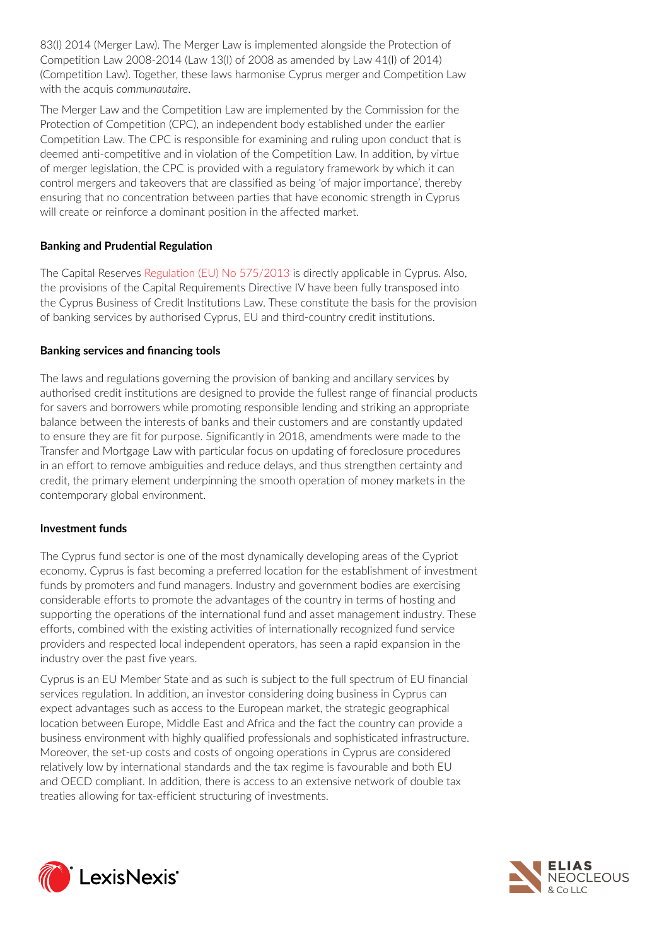83(I) 2014 (Merger Law). The Merger Law is implemented alongside the Protection of Competition Law 2008-2014 (Law 13(I) of 2008 as amended by Law 41(I) of 2014) (Competition Law). Together, these laws harmonise Cyprus merger and Competition Law with the acquis *communautaire*.

The Merger Law and the Competition Law are implemented by the Commission for the Protection of Competition (CPC), an independent body established under the earlier Competition Law. The CPC is responsible for examining and ruling upon conduct that is deemed anti-competitive and in violation of the Competition Law. In addition, by virtue of merger legislation, the CPC is provided with a regulatory framework by which it can control mergers and takeovers that are classified as being 'of major importance', thereby ensuring that no concentration between parties that have economic strength in Cyprus will create or reinforce a dominant position in the affected market.

#### **Banking and Prudential Regulation**

The Capital Reserves [Regulation \(EU\) No 575/2013](https://www.lexisnexis.com/uk/lexispsl/commercial/citationlinkHandler.faces?bct=A&service=citation&risb=&UK_EULEG&$num!%2532013R0575_title%25) is directly applicable in Cyprus. Also, the provisions of the Capital Requirements Directive IV have been fully transposed into the Cyprus Business of Credit Institutions Law. These constitute the basis for the provision of banking services by authorised Cyprus, EU and third-country credit institutions.

#### **Banking services and financing tools**

The laws and regulations governing the provision of banking and ancillary services by authorised credit institutions are designed to provide the fullest range of financial products for savers and borrowers while promoting responsible lending and striking an appropriate balance between the interests of banks and their customers and are constantly updated to ensure they are fit for purpose. Significantly in 2018, amendments were made to the Transfer and Mortgage Law with particular focus on updating of foreclosure procedures in an effort to remove ambiguities and reduce delays, and thus strengthen certainty and credit, the primary element underpinning the smooth operation of money markets in the contemporary global environment.

#### **Investment funds**

The Cyprus fund sector is one of the most dynamically developing areas of the Cypriot economy. Cyprus is fast becoming a preferred location for the establishment of investment funds by promoters and fund managers. Industry and government bodies are exercising considerable efforts to promote the advantages of the country in terms of hosting and supporting the operations of the international fund and asset management industry. These efforts, combined with the existing activities of internationally recognized fund service providers and respected local independent operators, has seen a rapid expansion in the industry over the past five years.

Cyprus is an EU Member State and as such is subject to the full spectrum of EU financial services regulation. In addition, an investor considering doing business in Cyprus can expect advantages such as access to the European market, the strategic geographical location between Europe, Middle East and Africa and the fact the country can provide a business environment with highly qualified professionals and sophisticated infrastructure. Moreover, the set-up costs and costs of ongoing operations in Cyprus are considered relatively low by international standards and the tax regime is favourable and both EU and OECD compliant. In addition, there is access to an extensive network of double tax treaties allowing for tax-efficient structuring of investments.



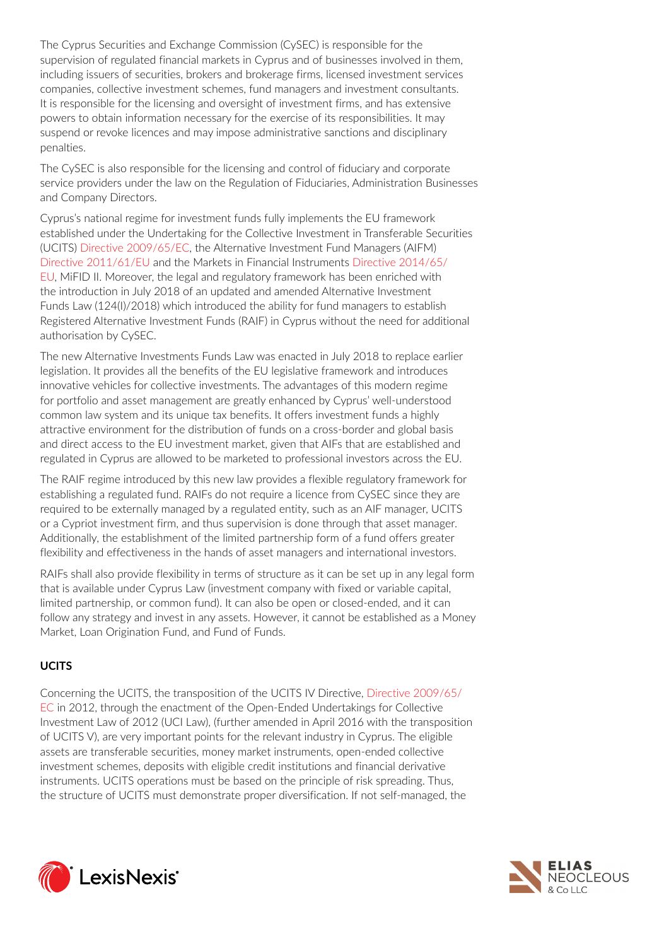The Cyprus Securities and Exchange Commission (CySEC) is responsible for the supervision of regulated financial markets in Cyprus and of businesses involved in them, including issuers of securities, brokers and brokerage firms, licensed investment services companies, collective investment schemes, fund managers and investment consultants. It is responsible for the licensing and oversight of investment firms, and has extensive powers to obtain information necessary for the exercise of its responsibilities. It may suspend or revoke licences and may impose administrative sanctions and disciplinary penalties.

The CySEC is also responsible for the licensing and control of fiduciary and corporate service providers under the law on the Regulation of Fiduciaries, Administration Businesses and Company Directors.

Cyprus's national regime for investment funds fully implements the EU framework established under the Undertaking for the Collective Investment in Transferable Securities (UCITS) [Directive 2009/65/EC,](https://www.lexisnexis.com/uk/lexispsl/commercial/citationlinkHandler.faces?bct=A&service=citation&risb=&UK_EULEG&$num!%2532009L0065_title%25) the Alternative Investment Fund Managers (AIFM) [Directive 2011/61/EU](https://www.lexisnexis.com/uk/lexispsl/commercial/citationlinkHandler.faces?bct=A&service=citation&risb=&UK_EULEG&$num!%2532011L0061_title%25) and the Markets in Financial Instruments [Directive 2014/65/](https://www.lexisnexis.com/uk/lexispsl/commercial/citationlinkHandler.faces?bct=A&service=citation&risb=&UK_EULEG&$num!%2532014L0065_title%25) [EU,](https://www.lexisnexis.com/uk/lexispsl/commercial/citationlinkHandler.faces?bct=A&service=citation&risb=&UK_EULEG&$num!%2532014L0065_title%25) MiFID II. Moreover, the legal and regulatory framework has been enriched with the introduction in July 2018 of an updated and amended Alternative Investment Funds Law (124(I)/2018) which introduced the ability for fund managers to establish Registered Alternative Investment Funds (RAIF) in Cyprus without the need for additional authorisation by CySEC.

The new Alternative Investments Funds Law was enacted in July 2018 to replace earlier legislation. It provides all the benefits of the EU legislative framework and introduces innovative vehicles for collective investments. The advantages of this modern regime for portfolio and asset management are greatly enhanced by Cyprus' well-understood common law system and its unique tax benefits. It offers investment funds a highly attractive environment for the distribution of funds on a cross-border and global basis and direct access to the EU investment market, given that AIFs that are established and regulated in Cyprus are allowed to be marketed to professional investors across the EU.

The RAIF regime introduced by this new law provides a flexible regulatory framework for establishing a regulated fund. RAIFs do not require a licence from CySEC since they are required to be externally managed by a regulated entity, such as an AIF manager, UCITS or a Cypriot investment firm, and thus supervision is done through that asset manager. Additionally, the establishment of the limited partnership form of a fund offers greater flexibility and effectiveness in the hands of asset managers and international investors.

RAIFs shall also provide flexibility in terms of structure as it can be set up in any legal form that is available under Cyprus Law (investment company with fixed or variable capital, limited partnership, or common fund). It can also be open or closed-ended, and it can follow any strategy and invest in any assets. However, it cannot be established as a Money Market, Loan Origination Fund, and Fund of Funds.

# **UCITS**

Concerning the UCITS, the transposition of the UCITS IV Directive, [Directive 2009/65/](https://www.lexisnexis.com/uk/lexispsl/commercial/citationlinkHandler.faces?bct=A&service=citation&risb=&UK_EULEG&$num!%2532009L0065_title%25) [EC](https://www.lexisnexis.com/uk/lexispsl/commercial/citationlinkHandler.faces?bct=A&service=citation&risb=&UK_EULEG&$num!%2532009L0065_title%25) in 2012, through the enactment of the Open-Ended Undertakings for Collective Investment Law of 2012 (UCI Law), (further amended in April 2016 with the transposition of UCITS V), are very important points for the relevant industry in Cyprus. The eligible assets are transferable securities, money market instruments, open-ended collective investment schemes, deposits with eligible credit institutions and financial derivative instruments. UCITS operations must be based on the principle of risk spreading. Thus, the structure of UCITS must demonstrate proper diversification. If not self-managed, the



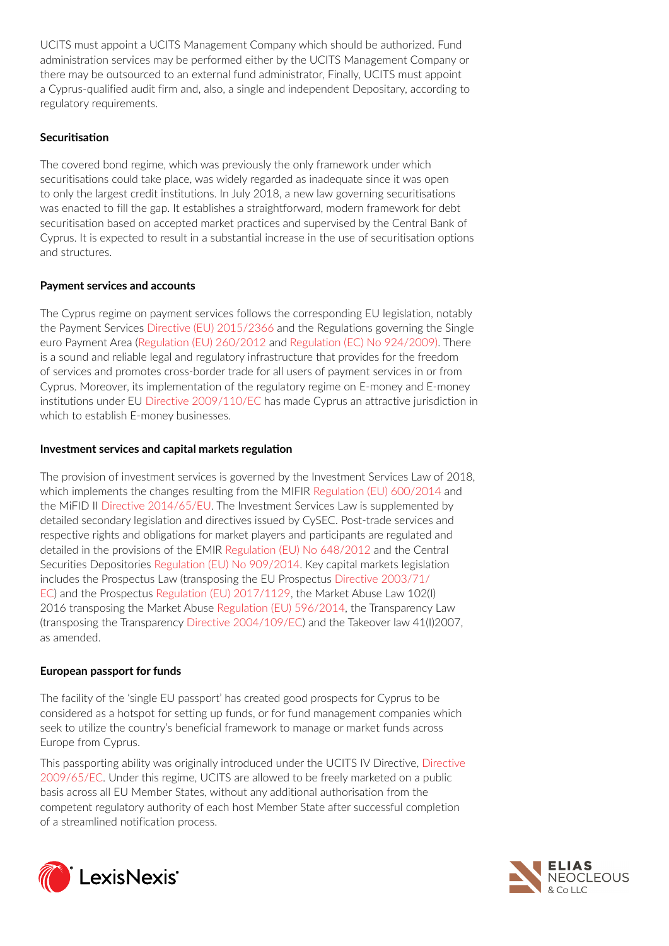UCITS must appoint a UCITS Management Company which should be authorized. Fund administration services may be performed either by the UCITS Management Company or there may be outsourced to an external fund administrator, Finally, UCITS must appoint a Cyprus-qualified audit firm and, also, a single and independent Depositary, according to regulatory requirements.

### **Securitisation**

The covered bond regime, which was previously the only framework under which securitisations could take place, was widely regarded as inadequate since it was open to only the largest credit institutions. In July 2018, a new law governing securitisations was enacted to fill the gap. It establishes a straightforward, modern framework for debt securitisation based on accepted market practices and supervised by the Central Bank of Cyprus. It is expected to result in a substantial increase in the use of securitisation options and structures.

#### **Payment services and accounts**

The Cyprus regime on payment services follows the corresponding EU legislation, notably the Payment Services [Directive \(EU\) 2015/2366](https://www.lexisnexis.com/uk/lexispsl/commercial/citationlinkHandler.faces?bct=A&service=citation&risb=&UK_EULEG&$num!%2532015L2366_title%25) and the Regulations governing the Single euro Payment Area ([Regulation \(EU\) 260/2012](https://www.lexisnexis.com/uk/lexispsl/commercial/citationlinkHandler.faces?bct=A&service=citation&risb=&UK_EULEG&$num!%2532012R0260_title%25) and [Regulation \(EC\) No 924/2009\).](https://www.lexisnexis.com/uk/lexispsl/commercial/citationlinkHandler.faces?bct=A&service=citation&risb=&UK_EULEG&$num!%2532009R0924_title%25) There is a sound and reliable legal and regulatory infrastructure that provides for the freedom of services and promotes cross-border trade for all users of payment services in or from Cyprus. Moreover, its implementation of the regulatory regime on E-money and E-money institutions under EU [Directive 2009/110/EC](https://www.lexisnexis.com/uk/lexispsl/commercial/citationlinkHandler.faces?bct=A&service=citation&risb=&UK_EULEG&$num!%2532009L0110_title%25) has made Cyprus an attractive jurisdiction in which to establish E-money businesses.

#### **Investment services and capital markets regulation**

Τhe provision of investment services is governed by the Investment Services Law of 2018, which implements the changes resulting from the MIFIR [Regulation \(EU\) 600/2014](https://www.lexisnexis.com/uk/lexispsl/commercial/citationlinkHandler.faces?bct=A&service=citation&risb=&UK_EULEG&$num!%2532014R0600_title%25) and the MiFID II [Directive 2014/65/EU.](https://www.lexisnexis.com/uk/lexispsl/commercial/citationlinkHandler.faces?bct=A&service=citation&risb=&UK_EULEG&$num!%2532014L0065_title%25) The Investment Services Law is supplemented by detailed secondary legislation and directives issued by CySEC. Post-trade services and respective rights and obligations for market players and participants are regulated and detailed in the provisions of the EMIR [Regulation \(EU\) No 648/2012](https://www.lexisnexis.com/uk/lexispsl/commercial/citationlinkHandler.faces?bct=A&service=citation&risb=&UK_EULEG&$num!%2532012R0648_title%25) and the Central Securities Depositories [Regulation \(EU\) No 909/2014.](https://www.lexisnexis.com/uk/lexispsl/commercial/citationlinkHandler.faces?bct=A&service=citation&risb=&UK_EULEG&$num!%2532014R0909_title%25) Key capital markets legislation includes the Prospectus Law (transposing the EU Prospectus [Directive 2003/71/](https://www.lexisnexis.com/uk/lexispsl/commercial/citationlinkHandler.faces?bct=A&service=citation&risb=&UK_EULEG&$num!%2532003L0071_title%25) [EC](https://www.lexisnexis.com/uk/lexispsl/commercial/citationlinkHandler.faces?bct=A&service=citation&risb=&UK_EULEG&$num!%2532003L0071_title%25)) and the Prospectus [Regulation \(EU\) 2017/1129,](https://www.lexisnexis.com/uk/lexispsl/commercial/citationlinkHandler.faces?bct=A&service=citation&risb=&UK_EULEG&$num!%2532017R1129_title%25) the Market Abuse Law 102(I) 2016 transposing the Market Abuse [Regulation \(EU\) 596/2014](https://www.lexisnexis.com/uk/lexispsl/commercial/citationlinkHandler.faces?bct=A&service=citation&risb=&UK_EULEG&$num!%2532014R0596_title%25), the Transparency Law (transposing the Transparency [Directive 2004/109/EC](https://www.lexisnexis.com/uk/lexispsl/commercial/citationlinkHandler.faces?bct=A&service=citation&risb=&UK_EULEG&$num!%2532004L0109_title%25)) and the Takeover law 41(I)2007, as amended.

## **European passport for funds**

The facility of the 'single EU passport' has created good prospects for Cyprus to be considered as a hotspot for setting up funds, or for fund management companies which seek to utilize the country's beneficial framework to manage or market funds across Europe from Cyprus.

This passporting ability was originally introduced under the UCITS IV Directive, [Directive](https://www.lexisnexis.com/uk/lexispsl/commercial/citationlinkHandler.faces?bct=A&service=citation&risb=&UK_EULEG&$num!%2532009L0065_title%25)  [2009/65/EC.](https://www.lexisnexis.com/uk/lexispsl/commercial/citationlinkHandler.faces?bct=A&service=citation&risb=&UK_EULEG&$num!%2532009L0065_title%25) Under this regime, UCITS are allowed to be freely marketed on a public basis across all EU Member States, without any additional authorisation from the competent regulatory authority of each host Member State after successful completion of a streamlined notification process.



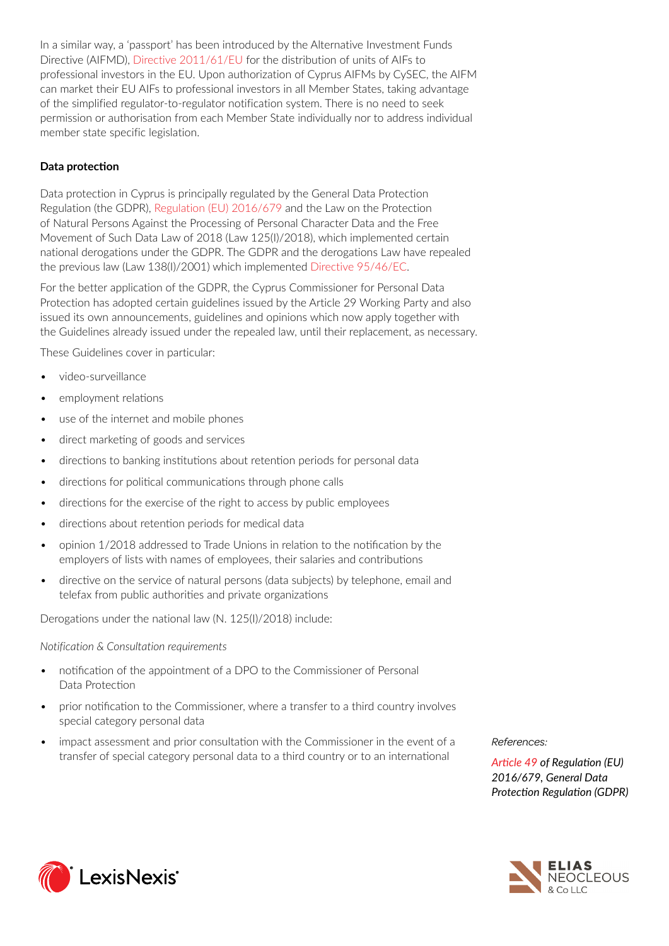In a similar way, a 'passport' has been introduced by the Alternative Investment Funds Directive (AIFMD), [Directive 2011/61/EU](https://www.lexisnexis.com/uk/lexispsl/commercial/citationlinkHandler.faces?bct=A&service=citation&risb=&UK_EULEG&$num!%2532011L0061_title%25) for the distribution of units of AIFs to professional investors in the EU. Upon authorization of Cyprus AIFMs by CySEC, the AIFM can market their EU AIFs to professional investors in all Member States, taking advantage of the simplified regulator-to-regulator notification system. There is no need to seek permission or authorisation from each Member State individually nor to address individual member state specific legislation.

## **Data protection**

Data protection in Cyprus is principally regulated by the General Data Protection Regulation (the GDPR), [Regulation \(EU\) 2016/679](https://www.lexisnexis.com/uk/lexispsl/commercial/citationlinkHandler.faces?bct=A&service=citation&risb=&UK_EULEG&$num!%2532016R0679_title%25) and the Law on the Protection of Natural Persons Against the Processing of Personal Character Data and the Free Movement of Such Data Law of 2018 (Law 125(I)/2018), which implemented certain national derogations under the GDPR. The GDPR and the derogations Law have repealed the previous law (Law 138(Ι)/2001) which implemented [Directive 95/46/EC](https://www.lexisnexis.com/uk/lexispsl/commercial/citationlinkHandler.faces?bct=A&service=citation&risb=&UK_EULEG&$num!%2531995L0046_title%25).

For the better application of the GDPR, the Cyprus Commissioner for Personal Data Protection has adopted certain guidelines issued by the Article 29 Working Party and also issued its own announcements, guidelines and opinions which now apply together with the Guidelines already issued under the repealed law, until their replacement, as necessary.

These Guidelines cover in particular:

- *•* video-surveillance
- *•* employment relations
- *•* use of the internet and mobile phones
- *•* direct marketing of goods and services
- *•* directions to banking institutions about retention periods for personal data
- *•* directions for political communications through phone calls
- *•* directions for the exercise of the right to access by public employees
- *•* directions about retention periods for medical data
- *•* opinion 1/2018 addressed to Trade Unions in relation to the notification by the employers of lists with names of employees, their salaries and contributions
- *•* directive on the service of natural persons (data subjects) by telephone, email and telefax from public authorities and private organizations

Derogations under the national law (N. 125(I)/2018) include:

*Notification & Consultation requirements*

- *•* notification of the appointment of a DPO to the Commissioner of Personal Data Protection
- *•* prior notification to the Commissioner, where a transfer to a third country involves special category personal data
- *•* impact assessment and prior consultation with the Commissioner in the event of a transfer of special category personal data to a third country or to an international

*References:* 

*[Article 49](https://www.lexisnexis.com/uk/lexispsl/commercial/citationlinkHandler.faces?bct=A&service=citation&risb=&UK_EULEG&$num!%2532016R0679 Article 49%25) of Regulation (EU) 2016/679, General Data Protection Regulation (GDPR)*



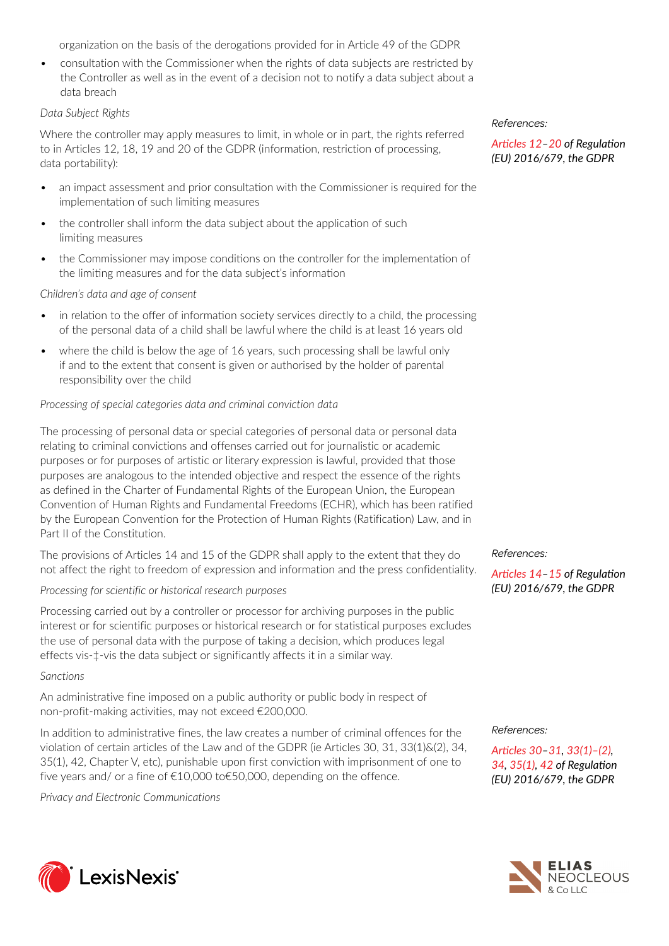organization on the basis of the derogations provided for in Article 49 of the GDPR

• consultation with the Commissioner when the rights of data subjects are restricted by the Controller as well as in the event of a decision not to notify a data subject about a data breach

#### *Data Subject Rights*

Where the controller may apply measures to limit, in whole or in part, the rights referred to in Articles 12, 18, 19 and 20 of the GDPR (information, restriction of processing, data portability):

- *•* an impact assessment and prior consultation with the Commissioner is required for the implementation of such limiting measures
- *•* the controller shall inform the data subject about the application of such limiting measures
- *•* the Commissioner may impose conditions on the controller for the implementation of the limiting measures and for the data subject's information

*Children's data and age of consent*

- *•* in relation to the offer of information society services directly to a child, the processing of the personal data of a child shall be lawful where the child is at least 16 years old
- *•* where the child is below the age of 16 years, such processing shall be lawful only if and to the extent that consent is given or authorised by the holder of parental responsibility over the child

#### *Processing of special categories data and criminal conviction data*

The processing of personal data or special categories of personal data or personal data relating to criminal convictions and offenses carried out for journalistic or academic purposes or for purposes of artistic or literary expression is lawful, provided that those purposes are analogous to the intended objective and respect the essence of the rights as defined in the Charter of Fundamental Rights of the European Union, the European Convention of Human Rights and Fundamental Freedoms (ECHR), which has been ratified by the European Convention for the Protection of Human Rights (Ratification) Law, and in Part II of the Constitution.

The provisions of Articles 14 and 15 of the GDPR shall apply to the extent that they do not affect the right to freedom of expression and information and the press confidentiality.

#### *Processing for scientific or historical research purposes*

Processing carried out by a controller or processor for archiving purposes in the public interest or for scientific purposes or historical research or for statistical purposes excludes the use of personal data with the purpose of taking a decision, which produces legal effects vis-‡-vis the data subject or significantly affects it in a similar way.

#### *Sanctions*

An administrative fine imposed on a public authority or public body in respect of non-profit-making activities, may not exceed €200,000.

In addition to administrative fines, the law creates a number of criminal offences for the violation of certain articles of the Law and of the GDPR (ie Articles 30, 31, 33(1)&(2), 34, 35(1), 42, Chapter V, etc), punishable upon first conviction with imprisonment of one to five years and/ or a fine of €10,000 to€50,000, depending on the offence.

*Privacy and Electronic Communications*



*[Articles 12](https://www.lexisnexis.com/uk/lexispsl/commercial/citationlinkHandler.faces?bct=A&service=citation&risb=&UK_EULEG&$num!%2532016R0679 Article 12%25)[–20](https://www.lexisnexis.com/uk/lexispsl/commercial/citationlinkHandler.faces?bct=A&service=citation&risb=&UK_EULEG&$num!%2532016R0679 Article 20%25) of Regulation (EU) 2016/679, the GDPR*

#### *References:*

*[Articles 14](https://www.lexisnexis.com/uk/lexispsl/commercial/citationlinkHandler.faces?bct=A&service=citation&risb=&UK_EULEG&$num!%2532016R0679 Article 14%25)[–15](https://www.lexisnexis.com/uk/lexispsl/commercial/citationlinkHandler.faces?bct=A&service=citation&risb=&UK_EULEG&$num!%2532016R0679 Article 15%25) of Regulation (EU) 2016/679, the GDPR*

#### *References:*

*[Articles 30](https://www.lexisnexis.com/uk/lexispsl/commercial/citationlinkHandler.faces?bct=A&service=citation&risb=&UK_EULEG&$num!%2532016R0679 Article 30%25)–[31,](https://www.lexisnexis.com/uk/lexispsl/commercial/citationlinkHandler.faces?bct=A&service=citation&risb=&UK_EULEG&$num!%2532016R0679 Article 31%25) [33\(1\)–\(2\),](https://www.lexisnexis.com/uk/lexispsl/commercial/citationlinkHandler.faces?bct=A&service=citation&risb=&UK_EULEG&$num!%2532016R0679 Article 33%25) [34](https://www.lexisnexis.com/uk/lexispsl/commercial/citationlinkHandler.faces?bct=A&service=citation&risb=&UK_EULEG&$num!%2532016R0679 Article 34%25), [35\(1\)](https://www.lexisnexis.com/uk/lexispsl/commercial/citationlinkHandler.faces?bct=A&service=citation&risb=&UK_EULEG&$num!%2532016R0679 Article 35%25), [42](https://www.lexisnexis.com/uk/lexispsl/commercial/citationlinkHandler.faces?bct=A&service=citation&risb=&UK_EULEG&$num!%2532016R0679 Article 42%25) of Regulation (EU) 2016/679, the GDPR*



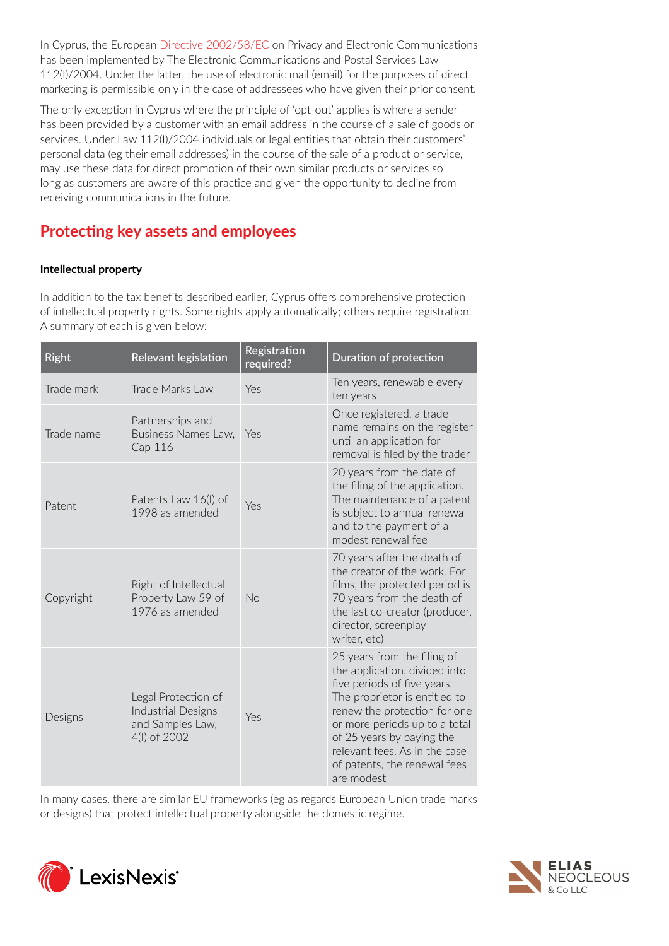In Cyprus, the European [Directive 2002/58/EC](https://www.lexisnexis.com/uk/lexispsl/commercial/citationlinkHandler.faces?bct=A&service=citation&risb=&UK_EULEG&$num!%2532002L0058_title%25) on Privacy and Electronic Communications has been implemented by The Electronic Communications and Postal Services Law 112(I)/2004. Under the latter, the use of electronic mail (email) for the purposes of direct marketing is permissible only in the case of addressees who have given their prior consent.

The only exception in Cyprus where the principle of 'opt-out' applies is where a sender has been provided by a customer with an email address in the course of a sale of goods or services. Under Law 112(I)/2004 individuals or legal entities that obtain their customers' personal data (eg their email addresses) in the course of the sale of a product or service, may use these data for direct promotion of their own similar products or services so long as customers are aware of this practice and given the opportunity to decline from receiving communications in the future.

# **Protecting key assets and employees**

## **Intellectual property**

In addition to the tax benefits described earlier, Cyprus offers comprehensive protection of intellectual property rights. Some rights apply automatically; others require registration. A summary of each is given below:

| <b>Right</b> | <b>Relevant legislation</b>                                                          | Registration<br>required? | Duration of protection                                                                                                                                                                                                                                                                                    |
|--------------|--------------------------------------------------------------------------------------|---------------------------|-----------------------------------------------------------------------------------------------------------------------------------------------------------------------------------------------------------------------------------------------------------------------------------------------------------|
| Trade mark   | Trade Marks Law                                                                      | Yes                       | Ten years, renewable every<br>ten years                                                                                                                                                                                                                                                                   |
| Trade name   | Partnerships and<br>Business Names Law,<br>Cap 116                                   | Yes                       | Once registered, a trade<br>name remains on the register<br>until an application for<br>removal is filed by the trader                                                                                                                                                                                    |
| Patent       | Patents Law 16(I) of<br>1998 as amended                                              | Yes                       | 20 years from the date of<br>the filing of the application.<br>The maintenance of a patent<br>is subject to annual renewal<br>and to the payment of a<br>modest renewal fee                                                                                                                               |
| Copyright    | Right of Intellectual<br>Property Law 59 of<br>1976 as amended                       | No                        | 70 years after the death of<br>the creator of the work. For<br>films, the protected period is<br>70 years from the death of<br>the last co-creator (producer,<br>director, screenplay<br>writer, etc)                                                                                                     |
| Designs      | Legal Protection of<br><b>Industrial Designs</b><br>and Samples Law,<br>4(I) of 2002 | Yes                       | 25 years from the filing of<br>the application, divided into<br>five periods of five years.<br>The proprietor is entitled to<br>renew the protection for one<br>or more periods up to a total<br>of 25 years by paying the<br>relevant fees. As in the case<br>of patents, the renewal fees<br>are modest |

In many cases, there are similar EU frameworks (eg as regards European Union trade marks or designs) that protect intellectual property alongside the domestic regime.



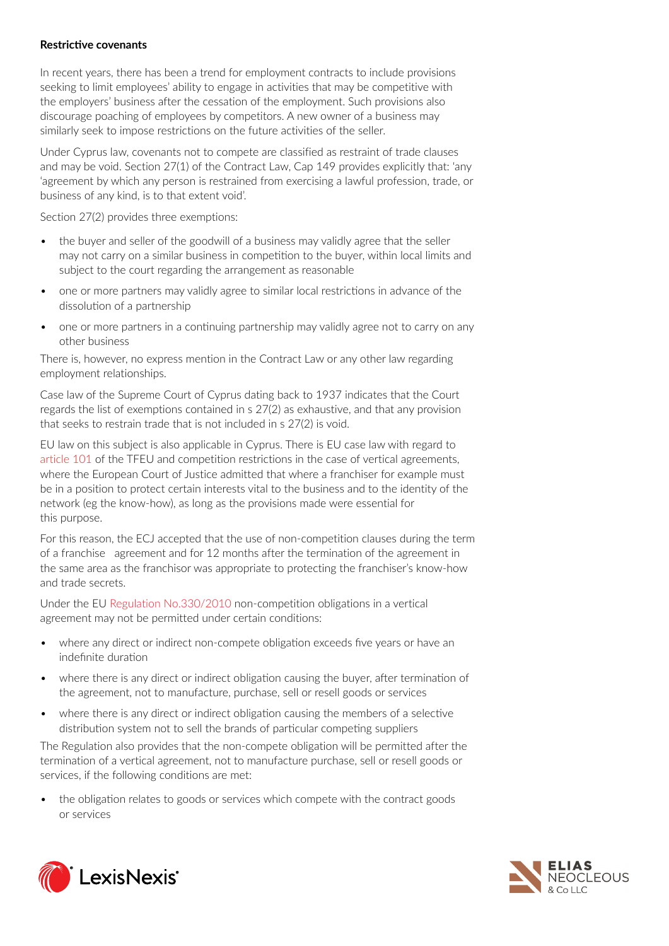#### **Restrictive covenants**

In recent years, there has been a trend for employment contracts to include provisions seeking to limit employees' ability to engage in activities that may be competitive with the employers' business after the cessation of the employment. Such provisions also discourage poaching of employees by competitors. A new owner of a business may similarly seek to impose restrictions on the future activities of the seller.

Under Cyprus law, covenants not to compete are classified as restraint of trade clauses and may be void. Section 27(1) of the Contract Law, Cap 149 provides explicitly that: 'any 'agreement by which any person is restrained from exercising a lawful profession, trade, or business of any kind, is to that extent void'.

Section 27(2) provides three exemptions:

- the buyer and seller of the goodwill of a business may validly agree that the seller may not carry on a similar business in competition to the buyer, within local limits and subject to the court regarding the arrangement as reasonable
- *•* one or more partners may validly agree to similar local restrictions in advance of the dissolution of a partnership
- *•* one or more partners in a continuing partnership may validly agree not to carry on any other business

There is, however, no express mention in the Contract Law or any other law regarding employment relationships.

Case law of the Supreme Court of Cyprus dating back to 1937 indicates that the Court regards the list of exemptions contained in s 27(2) as exhaustive, and that any provision that seeks to restrain trade that is not included in s 27(2) is void.

EU law on this subject is also applicable in Cyprus. There is EU case law with regard to [article 101](https://www.lexisnexis.com/uk/lexispsl/commercial/citationlinkHandler.faces?bct=A&service=citation&risb=&UK_EULEG&$num!%2512010EE101%25) of the TFEU and competition restrictions in the case of vertical agreements, where the European Court of Justice admitted that where a franchiser for example must be in a position to protect certain interests vital to the business and to the identity of the network (eg the know-how), as long as the provisions made were essential for this purpose.

For this reason, the ECJ accepted that the use of non-competition clauses during the term of a franchise agreement and for 12 months after the termination of the agreement in the same area as the franchisor was appropriate to protecting the franchiser's know-how and trade secrets.

Under the EU [Regulation No.330/2010](https://www.lexisnexis.com/uk/lexispsl/commercial/citationlinkHandler.faces?bct=A&service=citation&risb=&UK_EULEG&$num!%2532010R0330_title%25) non-competition obligations in a vertical agreement may not be permitted under certain conditions:

- where any direct or indirect non-compete obligation exceeds five years or have an indefinite duration
- *•* where there is any direct or indirect obligation causing the buyer, after termination of the agreement, not to manufacture, purchase, sell or resell goods or services
- where there is any direct or indirect obligation causing the members of a selective distribution system not to sell the brands of particular competing suppliers

The Regulation also provides that the non-compete obligation will be permitted after the termination of a vertical agreement, not to manufacture purchase, sell or resell goods or services, if the following conditions are met:

• the obligation relates to goods or services which compete with the contract goods or services